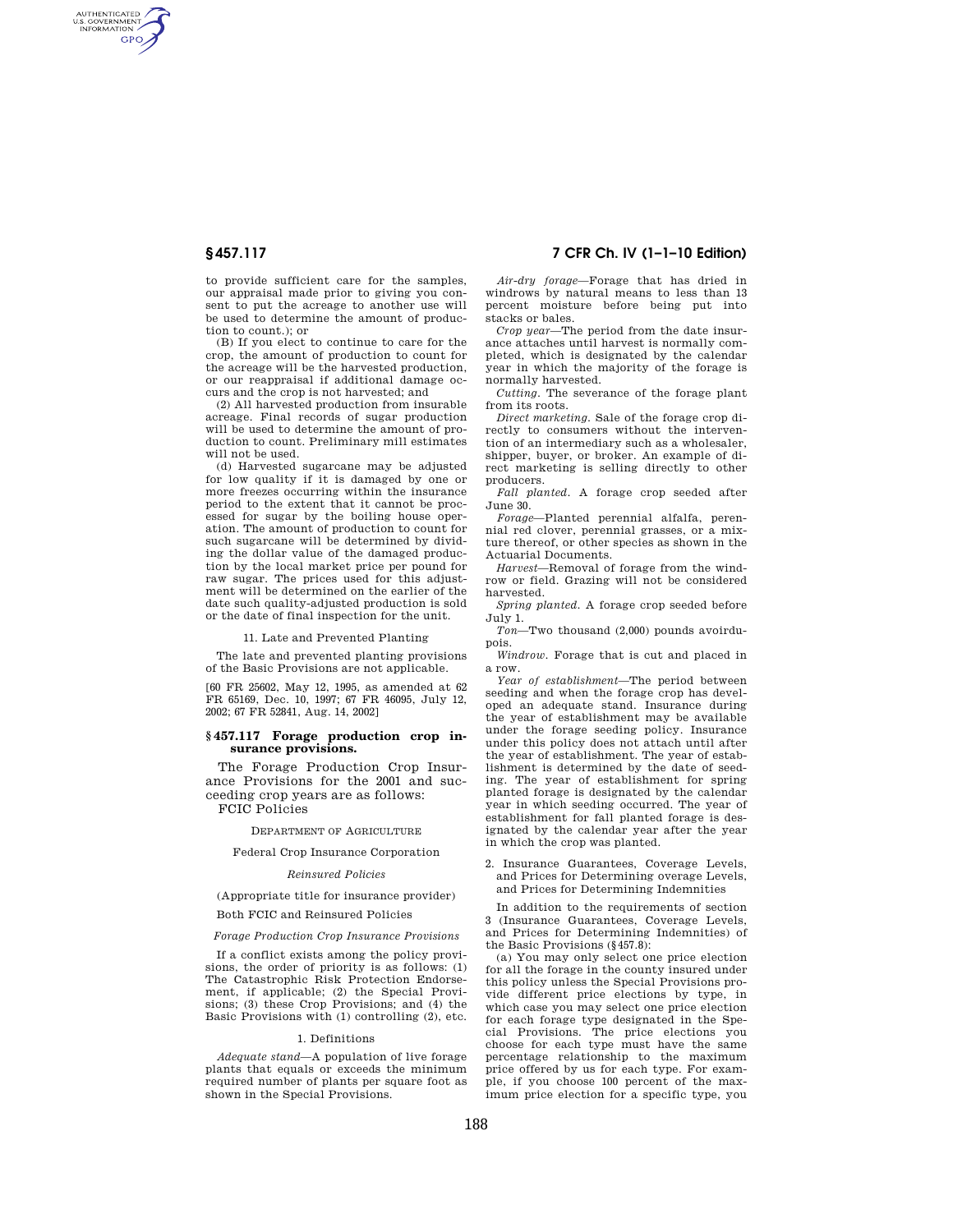AUTHENTICATED<br>U.S. GOVERNMENT<br>INFORMATION **GPO** 

> to provide sufficient care for the samples, our appraisal made prior to giving you consent to put the acreage to another use will be used to determine the amount of production to count.); or

> (B) If you elect to continue to care for the crop, the amount of production to count for the acreage will be the harvested production, or our reappraisal if additional damage occurs and the crop is not harvested; and

> (2) All harvested production from insurable acreage. Final records of sugar production will be used to determine the amount of production to count. Preliminary mill estimates will not be used.

> (d) Harvested sugarcane may be adjusted for low quality if it is damaged by one or more freezes occurring within the insurance period to the extent that it cannot be processed for sugar by the boiling house operation. The amount of production to count for such sugarcane will be determined by dividing the dollar value of the damaged production by the local market price per pound for raw sugar. The prices used for this adjustment will be determined on the earlier of the date such quality-adjusted production is sold or the date of final inspection for the unit.

> > 11. Late and Prevented Planting

The late and prevented planting provisions of the Basic Provisions are not applicable.

[60 FR 25602, May 12, 1995, as amended at 62 FR 65169, Dec. 10, 1997; 67 FR 46095, July 12, 2002; 67 FR 52841, Aug. 14, 2002]

#### **§ 457.117 Forage production crop insurance provisions.**

The Forage Production Crop Insurance Provisions for the 2001 and succeeding crop years are as follows: FCIC Policies

DEPARTMENT OF AGRICULTURE

## Federal Crop Insurance Corporation

#### *Reinsured Policies*

(Appropriate title for insurance provider)

#### Both FCIC and Reinsured Policies

#### *Forage Production Crop Insurance Provisions*

If a conflict exists among the policy provisions, the order of priority is as follows: (1) The Catastrophic Risk Protection Endorsement, if applicable; (2) the Special Provisions; (3) these Crop Provisions; and (4) the Basic Provisions with (1) controlling (2), etc.

#### 1. Definitions

*Adequate stand*—A population of live forage plants that equals or exceeds the minimum required number of plants per square foot as shown in the Special Provisions.

### **§ 457.117 7 CFR Ch. IV (1–1–10 Edition)**

*Air-dry forage*—Forage that has dried in windrows by natural means to less than 13 percent moisture before being put into stacks or bales.

*Crop year*—The period from the date insurance attaches until harvest is normally completed, which is designated by the calendar year in which the majority of the forage is normally harvested.

*Cutting.* The severance of the forage plant from its roots.

*Direct marketing.* Sale of the forage crop directly to consumers without the intervention of an intermediary such as a wholesaler, shipper, buyer, or broker. An example of direct marketing is selling directly to other producers.

*Fall planted.* A forage crop seeded after June 30.

*Forage*—Planted perennial alfalfa, perennial red clover, perennial grasses, or a mixture thereof, or other species as shown in the Actuarial Documents.

*Harvest*—Removal of forage from the windrow or field. Grazing will not be considered harvested.

*Spring planted.* A forage crop seeded before July 1.

*Ton*—Two thousand (2,000) pounds avoirdupois.

*Windrow.* Forage that is cut and placed in a row.

*Year of establishment*—The period between seeding and when the forage crop has developed an adequate stand. Insurance during the year of establishment may be available under the forage seeding policy. Insurance under this policy does not attach until after the year of establishment. The year of establishment is determined by the date of seeding. The year of establishment for spring planted forage is designated by the calendar year in which seeding occurred. The year of establishment for fall planted forage is designated by the calendar year after the year in which the crop was planted.

2. Insurance Guarantees, Coverage Levels, and Prices for Determining overage Levels, and Prices for Determining Indemnities

In addition to the requirements of section 3 (Insurance Guarantees, Coverage Levels, and Prices for Determining Indemnities) of the Basic Provisions (§457.8):

(a) You may only select one price election for all the forage in the county insured under this policy unless the Special Provisions provide different price elections by type, in which case you may select one price election for each forage type designated in the Special Provisions. The price elections you choose for each type must have the same percentage relationship to the maximum price offered by us for each type. For example, if you choose 100 percent of the maximum price election for a specific type, you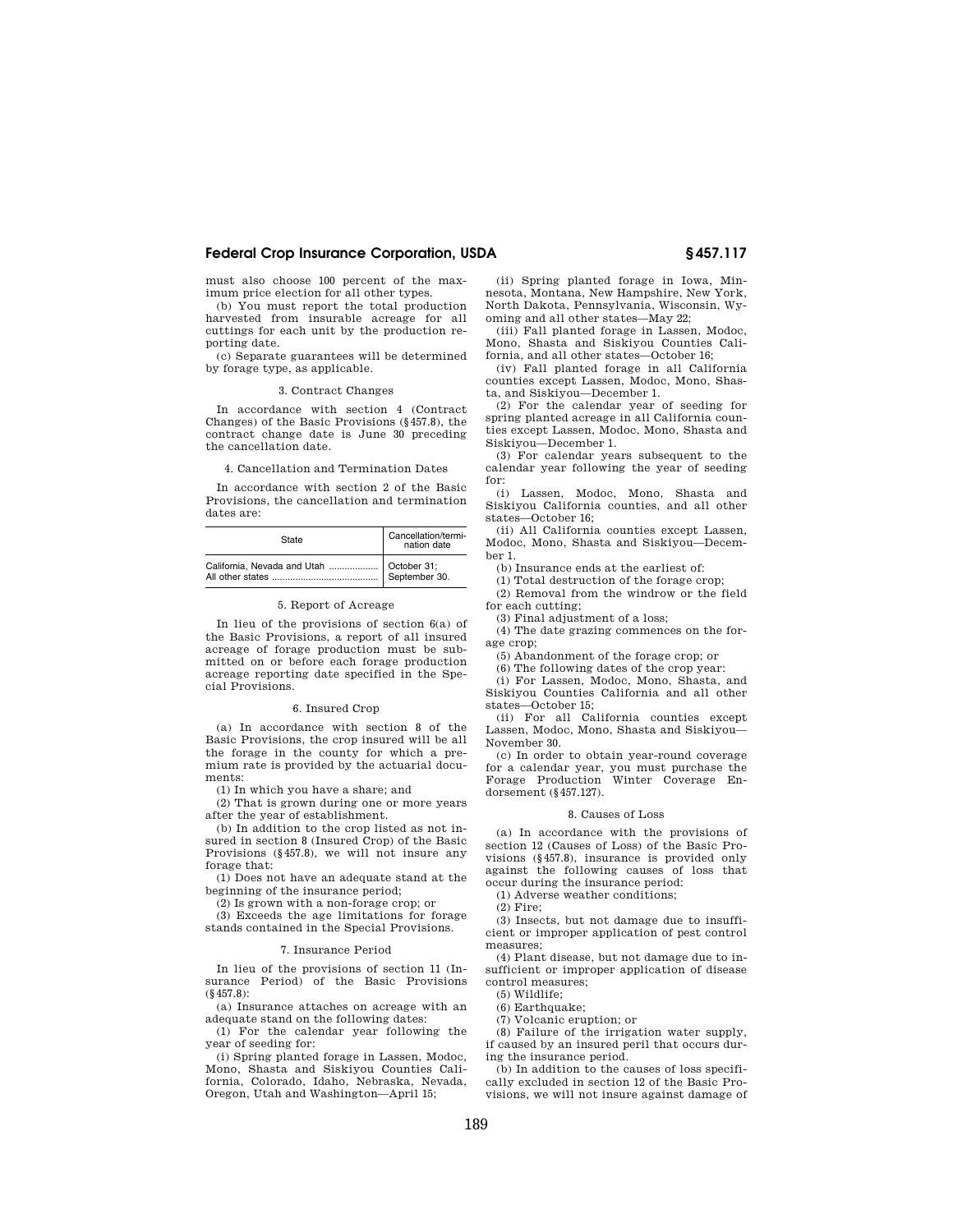### **Federal Crop Insurance Corporation, USDA § 457.117**

must also choose 100 percent of the maximum price election for all other types.

(b) You must report the total production harvested from insurable acreage for all cuttings for each unit by the production reporting date.

(c) Separate guarantees will be determined by forage type, as applicable.

#### 3. Contract Changes

In accordance with section 4 (Contract Changes) of the Basic Provisions (§457.8), the contract change date is June 30 preceding the cancellation date.

#### 4. Cancellation and Termination Dates

In accordance with section 2 of the Basic Provisions, the cancellation and termination dates are:

| State | Cancellation/termi-<br>nation date |
|-------|------------------------------------|
|       | September 30.                      |

#### 5. Report of Acreage

In lieu of the provisions of section 6(a) of the Basic Provisions, a report of all insured acreage of forage production must be submitted on or before each forage production acreage reporting date specified in the Special Provisions.

#### 6. Insured Crop

(a) In accordance with section 8 of the Basic Provisions, the crop insured will be all the forage in the county for which a premium rate is provided by the actuarial documents:

(1) In which you have a share; and

(2) That is grown during one or more years after the year of establishment.

(b) In addition to the crop listed as not insured in section 8 (Insured Crop) of the Basic Provisions (§457.8), we will not insure any forage that:

(1) Does not have an adequate stand at the beginning of the insurance period;

(2) Is grown with a non-forage crop; or

(3) Exceeds the age limitations for forage stands contained in the Special Provisions.

#### 7. Insurance Period

In lieu of the provisions of section 11 (Insurance Period) of the Basic Provisions (§457.8):

(a) Insurance attaches on acreage with an adequate stand on the following dates:

(1) For the calendar year following the year of seeding for:

(i) Spring planted forage in Lassen, Modoc, Mono, Shasta and Siskiyou Counties California, Colorado, Idaho, Nebraska, Nevada, Oregon, Utah and Washington—April 15;

(ii) Spring planted forage in Iowa, Minnesota, Montana, New Hampshire, New York, North Dakota, Pennsylvania, Wisconsin, Wyoming and all other states—May 22;

(iii) Fall planted forage in Lassen, Modoc, Mono, Shasta and Siskiyou Counties California, and all other states—October 16;

(iv) Fall planted forage in all California counties except Lassen, Modoc, Mono, Shasta, and Siskiyou—December 1.

(2) For the calendar year of seeding for spring planted acreage in all California counties except Lassen, Modoc, Mono, Shasta and Siskiyou—December 1.

(3) For calendar years subsequent to the calendar year following the year of seeding for:

(i) Lassen, Modoc, Mono, Shasta and Siskiyou California counties, and all other states—October 16;

(ii) All California counties except Lassen, Modoc, Mono, Shasta and Siskiyou—December 1.

(b) Insurance ends at the earliest of:

(1) Total destruction of the forage crop;

(2) Removal from the windrow or the field for each cutting;

(3) Final adjustment of a loss;

(4) The date grazing commences on the forage crop;

(5) Abandonment of the forage crop; or

(6) The following dates of the crop year:

(i) For Lassen, Modoc, Mono, Shasta, and Siskiyou Counties California and all other states—October 15;

(ii) For all California counties except Lassen, Modoc, Mono, Shasta and Siskiyou— November 30.

(c) In order to obtain year-round coverage for a calendar year, you must purchase the Forage Production Winter Coverage Endorsement (§457.127).

#### 8. Causes of Loss

(a) In accordance with the provisions of section 12 (Causes of Loss) of the Basic Provisions (§457.8), insurance is provided only against the following causes of loss that occur during the insurance period:

(1) Adverse weather conditions;

(2) Fire;

(3) Insects, but not damage due to insufficient or improper application of pest control measures;

(4) Plant disease, but not damage due to insufficient or improper application of disease control measures;

(5) Wildlife;

(6) Earthquake;

(7) Volcanic eruption; or

(8) Failure of the irrigation water supply, if caused by an insured peril that occurs during the insurance period.

(b) In addition to the causes of loss specifically excluded in section 12 of the Basic Provisions, we will not insure against damage of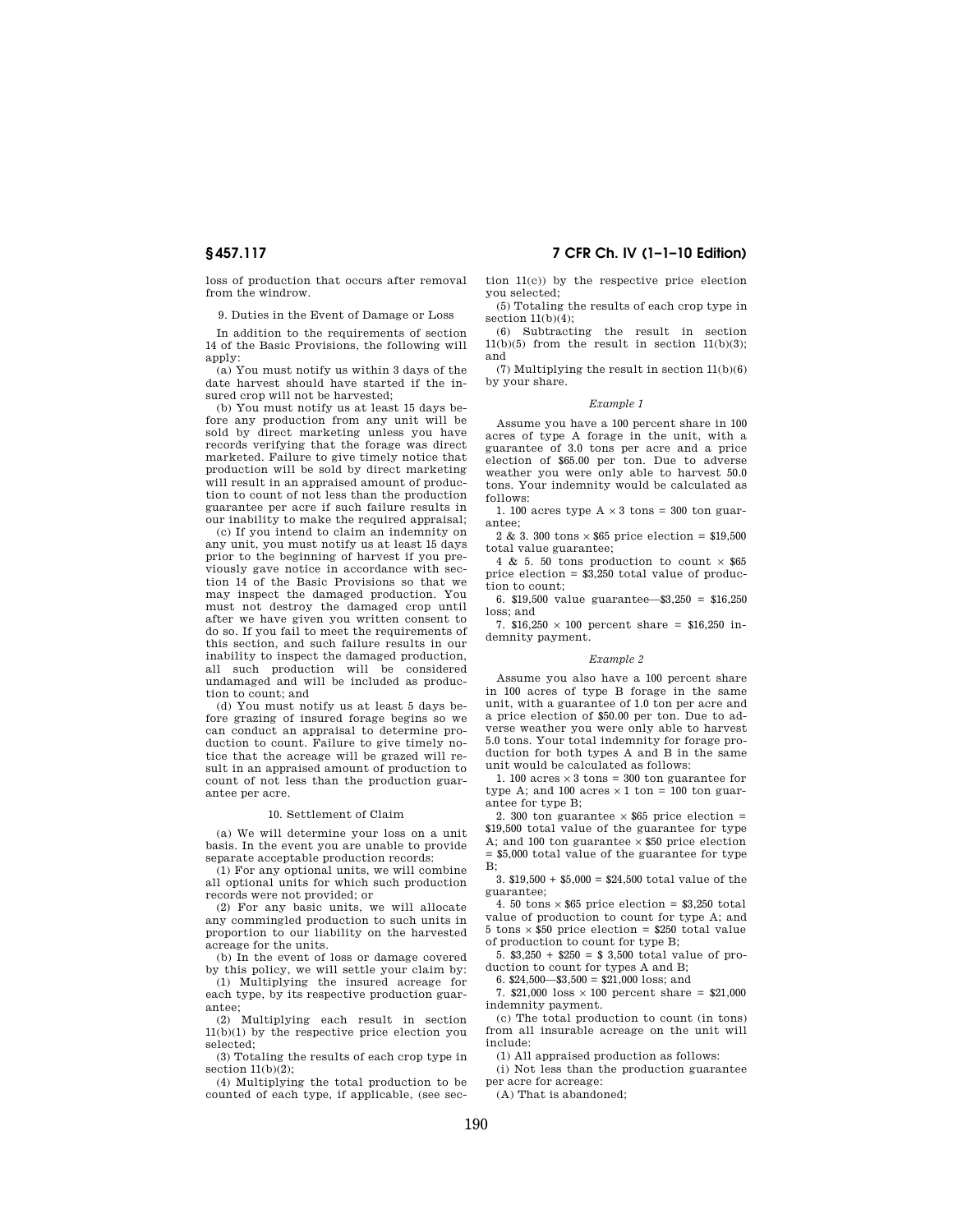loss of production that occurs after removal from the windrow.

9. Duties in the Event of Damage or Loss

In addition to the requirements of section 14 of the Basic Provisions, the following will apply:

(a) You must notify us within 3 days of the date harvest should have started if the insured crop will not be harvested;

(b) You must notify us at least 15 days before any production from any unit will be sold by direct marketing unless you have records verifying that the forage was direct marketed. Failure to give timely notice that production will be sold by direct marketing will result in an appraised amount of production to count of not less than the production guarantee per acre if such failure results in our inability to make the required appraisal;

(c) If you intend to claim an indemnity on any unit, you must notify us at least 15 days prior to the beginning of harvest if you previously gave notice in accordance with section 14 of the Basic Provisions so that we may inspect the damaged production. You must not destroy the damaged crop until after we have given you written consent to do so. If you fail to meet the requirements of this section, and such failure results in our inability to inspect the damaged production, all such production will be considered undamaged and will be included as production to count; and

(d) You must notify us at least 5 days before grazing of insured forage begins so we can conduct an appraisal to determine production to count. Failure to give timely notice that the acreage will be grazed will result in an appraised amount of production to count of not less than the production guarantee per acre.

#### 10. Settlement of Claim

(a) We will determine your loss on a unit basis. In the event you are unable to provide separate acceptable production records:

(1) For any optional units, we will combine all optional units for which such production records were not provided; or

(2) For any basic units, we will allocate any commingled production to such units in proportion to our liability on the harvested acreage for the units.

(b) In the event of loss or damage covered by this policy, we will settle your claim by:

(1) Multiplying the insured acreage for each type, by its respective production guarantee;

(2) Multiplying each result in section 11(b)(1) by the respective price election you selected;

(3) Totaling the results of each crop type in section  $11(b)(2)$ ;

(4) Multiplying the total production to be counted of each type, if applicable, (see sec-

**§ 457.117 7 CFR Ch. IV (1–1–10 Edition)** 

tion 11(c)) by the respective price election you selected;

(5) Totaling the results of each crop type in section 11(b)(4);

(6) Subtracting the result in section  $11(b)(5)$  from the result in section  $11(b)(3)$ ; and

(7) Multiplying the result in section 11(b)(6) by your share.

#### *Example 1*

Assume you have a 100 percent share in 100 acres of type A forage in the unit, with a guarantee of 3.0 tons per acre and a price election of \$65.00 per ton. Due to adverse weather you were only able to harvest 50.0 tons. Your indemnity would be calculated as follows:

1. 100 acres type  $A \times 3$  tons = 300 ton guarantee;

 $2$  & 3. 300 tons  $\times\,\$65$  price election =  $\$19,\!500$ total value guarantee;

4 & 5. 50 tons production to count  $\times$   $\$65$ price election = \$3,250 total value of production to count;

6. \$19,500 value guarantee—\$3,250 = \$16,250 loss; and

7.  $$16,250 \times 100$  percent share = \$16,250 indemnity payment.

#### *Example 2*

Assume you also have a 100 percent share in 100 acres of type B forage in the same unit, with a guarantee of 1.0 ton per acre and a price election of \$50.00 per ton. Due to adverse weather you were only able to harvest 5.0 tons. Your total indemnity for forage production for both types A and B in the same unit would be calculated as follows:

1. 100 acres  $\times\,3$  tons = 300 ton guarantee for type A; and 100 acres  $\times$  1 ton = 100 ton guarantee for type B;

2. 300 ton guarantee  $\times$  \$65 price election = \$19,500 total value of the guarantee for type A; and 100 ton guarantee  $\times$  \$50 price election = \$5,000 total value of the guarantee for type B;

3. \$19,500 + \$5,000 = \$24,500 total value of the guarantee;

4. 50 tons  $\times$  \$65 price election = \$3,250 total value of production to count for type A; and 5 tons  $\times$  \$50 price election = \$250 total value of production to count for type B;

5. \$3,250 + \$250 = \$ 3,500 total value of production to count for types A and B;

6.  $$24,500$   $$3,500 = $21,000$  loss; and

7.  $$21,000$  loss  $\times$  100 percent share = \$21,000 indemnity payment.

(c) The total production to count (in tons) from all insurable acreage on the unit will include:

(1) All appraised production as follows:

(i) Not less than the production guarantee per acre for acreage:

(A) That is abandoned;